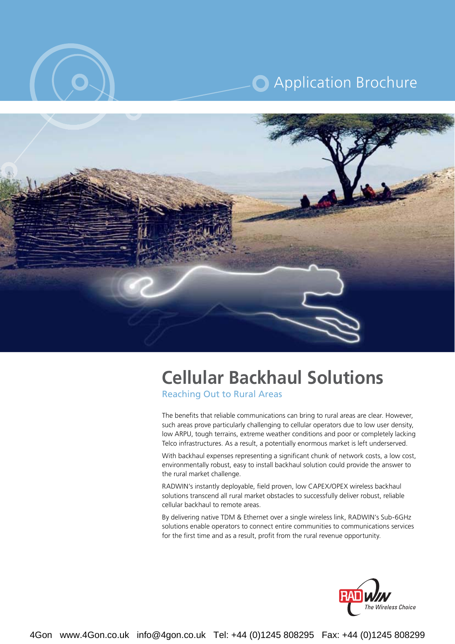

# **C** Application Brochure



# **Cellular Backhaul Solutions**

**Reaching Out to Rural Areas** 

The benefits that reliable communications can bring to rural areas are clear. However, such areas prove particularly challenging to cellular operators due to low user density. low ARPU, tough terrains, extreme weather conditions and poor or completely lacking Telco infrastructures. As a result, a potentially enormous market is left underserved.

With backhaul expenses representing a significant chunk of network costs, a low cost, environmentally robust, easy to install backhaul solution could provide the answer to the rural market challenge.

RADWIN's instantly deployable, field proven, low CAPEX/OPEX wireless backhaul solutions transcend all rural market obstacles to successfully deliver robust, reliable cellular backhaul to remote areas.

By delivering native TDM & Ethernet over a single wireless link, RADWIN's Sub-6GHz solutions enable operators to connect entire communities to communications services for the first time and as a result, profit from the rural revenue opportunity.

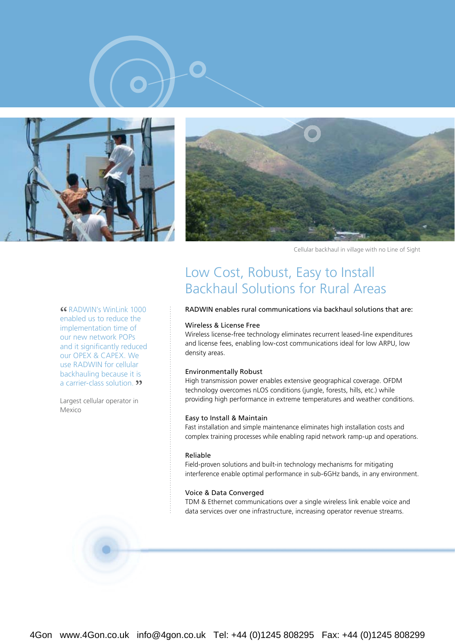





Cellular backhaul in village with no Line of Sight

**CG RADWIN's WinLink 1000 Example CE ALCONG**<br> **Example CE ALCONG**<br> **EXAMPLE CE ALCONGLY**<br> **S** The reduce the implementation time of our new network POPs and it significantly reduced our OPEX & CAPEX. We use RADWIN for cellular backhauling because it is a carrier-class solution. **"** 

Largest cellular operator in Mexico

### Low Cost, Robust, Easy to Install Backhaul Solutions for Rural Areas

#### RADWIN enables rural communications via backhaul solutions that are:

#### Wireless & License Free

Wireless license-free technology eliminates recurrent leased-line expenditures and license fees, enabling low-cost communications ideal for low ARPU, low density areas.

#### **Environmentally Robust**

High transmission power enables extensive geographical coverage. OFDM technology overcomes nLOS conditions (jungle, forests, hills, etc.) while providing high performance in extreme temperatures and weather conditions.

#### Easy to Install & Maintain

Fast installation and simple maintenance eliminates high installation costs and complex training processes while enabling rapid network ramp-up and operations.

#### Reliable

Field-proven solutions and built-in technology mechanisms for mitigating interference enable optimal performance in sub-6GHz bands, in any environment.

#### Voice & Data Converged

TDM & Ethernet communications over a single wireless link enable voice and data services over one infrastructure, increasing operator revenue streams.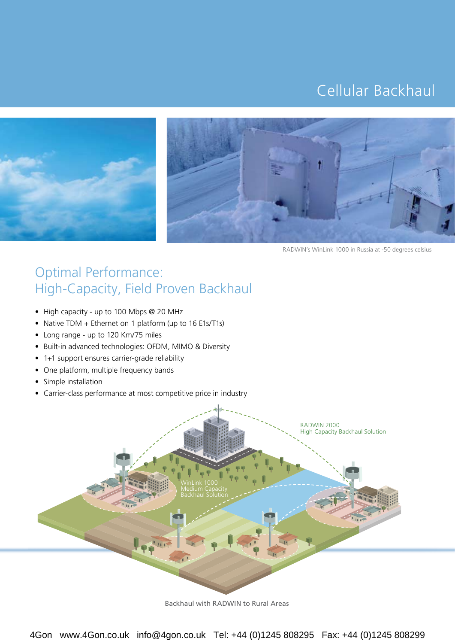# Cellular Backhaul





RADWIN's WinLink 1000 in Russia at -50 degrees celsius

### Optimal Performance: High-Capacity, Field Proven Backhaul

- High capacity up to 100 Mbps @ 20 MHz
- Native TDM + Ethernet on 1 platform (up to 16 E1s/T1s)
- Long range up to 120 Km/75 miles
- Built-in advanced technologies: OFDM, MIMO & Diversity
- 1+1 support ensures carrier-grade reliability
- One platform, multiple frequency bands
- Simple installation
- Carrier-class performance at most competitive price in industry



Backhaul with RADWIN to Rural Areas